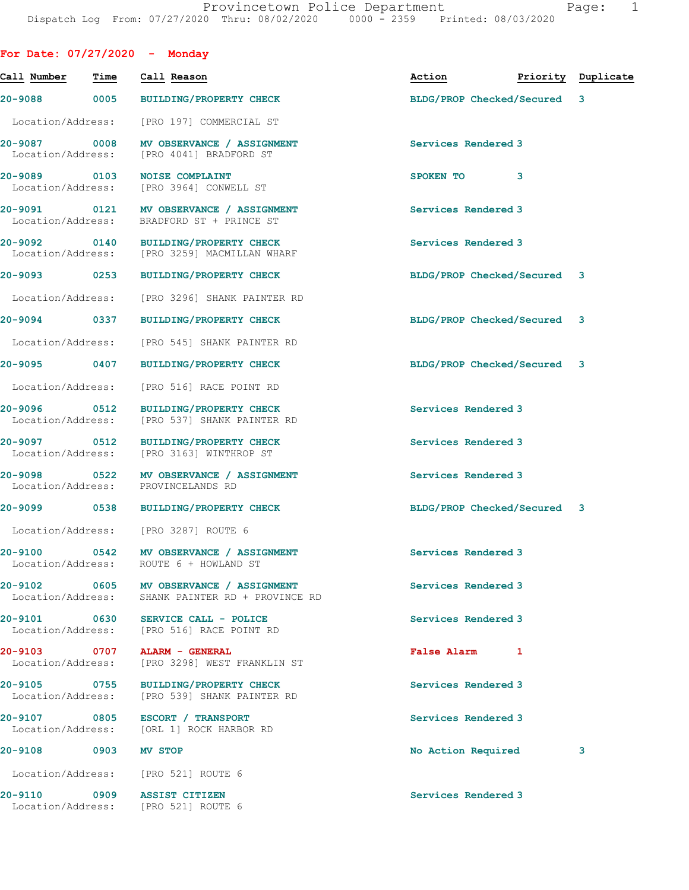|                                   |      | For Date: $07/27/2020 -$ Monday                                                             |                             |   |                    |
|-----------------------------------|------|---------------------------------------------------------------------------------------------|-----------------------------|---|--------------------|
| Call Number                       | Time | Call Reason                                                                                 | Action                      |   | Priority Duplicate |
|                                   |      | 20-9088 0005 BUILDING/PROPERTY CHECK                                                        | BLDG/PROP Checked/Secured 3 |   |                    |
| Location/Address:                 |      | [PRO 197] COMMERCIAL ST                                                                     |                             |   |                    |
|                                   |      | 20-9087 0008 MV OBSERVANCE / ASSIGNMENT<br>Location/Address: [PRO 4041] BRADFORD ST         | Services Rendered 3         |   |                    |
| 20-9089 0103                      |      | <b>NOISE COMPLAINT</b><br>Location/Address: [PRO 3964] CONWELL ST                           | SPOKEN TO                   | 3 |                    |
| Location/Address:                 |      | 20-9091 0121 MV OBSERVANCE / ASSIGNMENT<br>BRADFORD ST + PRINCE ST                          | Services Rendered 3         |   |                    |
|                                   |      | 20-9092 0140 BUILDING/PROPERTY CHECK<br>Location/Address: [PRO 3259] MACMILLAN WHARF        | Services Rendered 3         |   |                    |
|                                   |      | 20-9093 0253 BUILDING/PROPERTY CHECK                                                        | BLDG/PROP Checked/Secured 3 |   |                    |
| Location/Address:                 |      | [PRO 3296] SHANK PAINTER RD                                                                 |                             |   |                    |
| 20-9094 0337                      |      | BUILDING/PROPERTY CHECK                                                                     | BLDG/PROP Checked/Secured 3 |   |                    |
| Location/Address:                 |      | [PRO 545] SHANK PAINTER RD                                                                  |                             |   |                    |
|                                   |      | 20-9095 0407 BUILDING/PROPERTY CHECK                                                        | BLDG/PROP Checked/Secured 3 |   |                    |
| Location/Address:                 |      | [PRO 516] RACE POINT RD                                                                     |                             |   |                    |
| 20-9096 0512<br>Location/Address: |      | <b>BUILDING/PROPERTY CHECK</b><br>[PRO 537] SHANK PAINTER RD                                | Services Rendered 3         |   |                    |
| 20-9097 0512                      |      | BUILDING/PROPERTY CHECK<br>Location/Address: [PRO 3163] WINTHROP ST                         | Services Rendered 3         |   |                    |
| 20-9098 0522<br>Location/Address: |      | MV OBSERVANCE / ASSIGNMENT<br>PROVINCELANDS RD                                              | Services Rendered 3         |   |                    |
| 20-9099 20-                       | 0538 | BUILDING/PROPERTY CHECK                                                                     | BLDG/PROP Checked/Secured 3 |   |                    |
|                                   |      | Location/Address: [PRO 3287] ROUTE 6                                                        |                             |   |                    |
| Location/Address:                 |      | 20-9100 0542 MV OBSERVANCE / ASSIGNMENT<br>ROUTE 6 + HOWLAND ST                             | <b>Services Rendered 3</b>  |   |                    |
|                                   |      | 20-9102 0605 MV OBSERVANCE / ASSIGNMENT<br>Location/Address: SHANK PAINTER RD + PROVINCE RD | Services Rendered 3         |   |                    |
|                                   |      | 20-9101 0630 SERVICE CALL - POLICE<br>Location/Address: [PRO 516] RACE POINT RD             | Services Rendered 3         |   |                    |
| Location/Address:                 |      | 20-9103 0707 ALARM - GENERAL<br>[PRO 3298] WEST FRANKLIN ST                                 | False Alarm 1               |   |                    |
| 20-9105 0755                      |      | <b>BUILDING/PROPERTY CHECK</b><br>Location/Address: [PRO 539] SHANK PAINTER RD              | Services Rendered 3         |   |                    |
|                                   |      | 20-9107 0805 ESCORT / TRANSPORT<br>Location/Address: [ORL 1] ROCK HARBOR RD                 | Services Rendered 3         |   |                    |
| 20-9108 0903                      |      | <b>MV STOP</b>                                                                              | No Action Required          |   | 3                  |
|                                   |      | Location/Address: [PRO 521] ROUTE 6                                                         |                             |   |                    |
| 20-9110                           |      | 0909 ASSIST CITIZEN<br>Location/Address: [PRO 521] ROUTE 6                                  | Services Rendered 3         |   |                    |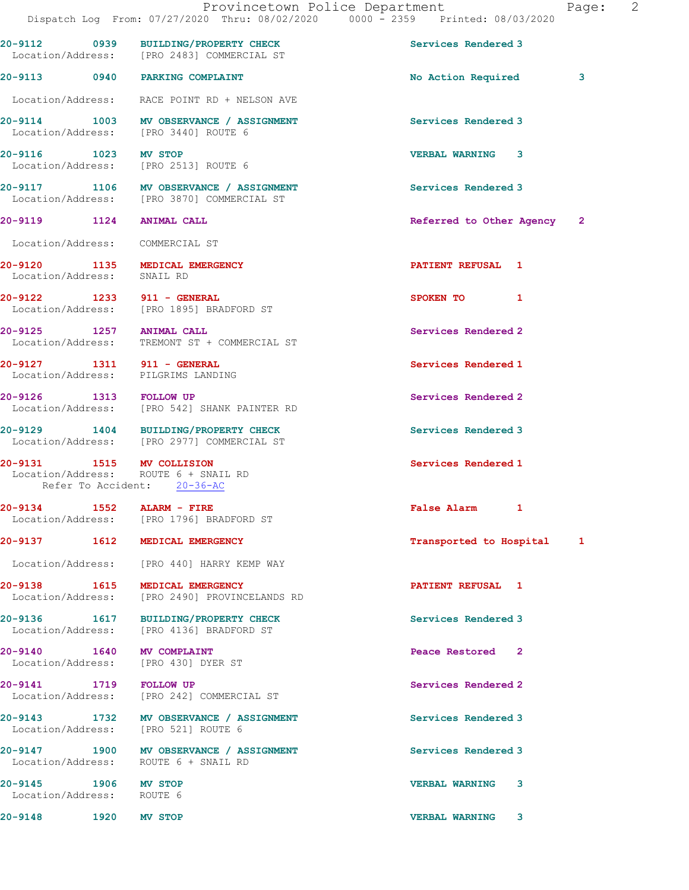|                                                                  | 20-9112 0939 BUILDING/PROPERTY CHECK<br>Location/Address: [PRO 2483] COMMERCIAL ST    | Services Rendered 3         |  |
|------------------------------------------------------------------|---------------------------------------------------------------------------------------|-----------------------------|--|
|                                                                  | 20-9113 0940 PARKING COMPLAINT                                                        | No Action Required 3        |  |
|                                                                  | Location/Address: RACE POINT RD + NELSON AVE                                          |                             |  |
|                                                                  | 20-9114 1003 MV OBSERVANCE / ASSIGNMENT<br>Location/Address: [PRO 3440] ROUTE 6       | Services Rendered 3         |  |
| 20-9116 1023                                                     | <b>MV STOP</b><br>Location/Address: [PRO 2513] ROUTE 6                                | <b>VERBAL WARNING 3</b>     |  |
|                                                                  | 20-9117 1106 MV OBSERVANCE / ASSIGNMENT<br>Location/Address: [PRO 3870] COMMERCIAL ST | Services Rendered 3         |  |
| 20-9119 1124 ANIMAL CALL                                         |                                                                                       | Referred to Other Agency 2  |  |
| Location/Address: COMMERCIAL ST                                  |                                                                                       |                             |  |
| Location/Address:                                                | 20-9120 1135 MEDICAL EMERGENCY<br>SNAIL RD                                            | PATIENT REFUSAL 1           |  |
|                                                                  | 20-9122 1233 911 - GENERAL<br>Location/Address: [PRO 1895] BRADFORD ST                | SPOKEN TO 1                 |  |
|                                                                  | 20-9125 1257 ANIMAL CALL<br>Location/Address: TREMONT ST + COMMERCIAL ST              | Services Rendered 2         |  |
| 20-9127 1311 911 - GENERAL<br>Location/Address: PILGRIMS LANDING |                                                                                       | Services Rendered 1         |  |
| 20-9126 1313 FOLLOW UP                                           | Location/Address: [PRO 542] SHANK PAINTER RD                                          | Services Rendered 2         |  |
|                                                                  | 20-9129 1404 BUILDING/PROPERTY CHECK<br>Location/Address: [PRO 2977] COMMERCIAL ST    | Services Rendered 3         |  |
| 20-9131 1515 MV COLLISION<br>Refer To Accident: 20-36-AC         | Location/Address: ROUTE 6 + SNAIL RD                                                  | Services Rendered 1         |  |
| 20-9134 1552 ALARM - FIRE                                        | Location/Address: [PRO 1796] BRADFORD ST                                              | False Alarm 1               |  |
|                                                                  | 20-9137 1612 MEDICAL EMERGENCY                                                        | Transported to Hospital 1   |  |
|                                                                  | Location/Address: [PRO 440] HARRY KEMP WAY                                            |                             |  |
|                                                                  | 20-9138 1615 MEDICAL EMERGENCY<br>Location/Address: [PRO 2490] PROVINCELANDS RD       | PATIENT REFUSAL 1           |  |
|                                                                  | 20-9136 1617 BUILDING/PROPERTY CHECK<br>Location/Address: [PRO 4136] BRADFORD ST      | Services Rendered 3         |  |
| 20-9140 1640 MV COMPLAINT                                        | Location/Address: [PRO 430] DYER ST                                                   | Peace Restored <sub>2</sub> |  |
| 20-9141 1719 FOLLOW UP                                           | Location/Address: [PRO 242] COMMERCIAL ST                                             | Services Rendered 2         |  |
|                                                                  | 20-9143 1732 MV OBSERVANCE / ASSIGNMENT<br>Location/Address: [PRO 521] ROUTE 6        | Services Rendered 3         |  |
|                                                                  | 20-9147 1900 MV OBSERVANCE / ASSIGNMENT<br>Location/Address: ROUTE 6 + SNAIL RD       | Services Rendered 3         |  |
| 20-9145 1906 MV STOP<br>Location/Address: ROUTE 6                |                                                                                       | <b>VERBAL WARNING</b><br>-3 |  |
| 20-9148 1920 MV STOP                                             |                                                                                       | <b>VERBAL WARNING 3</b>     |  |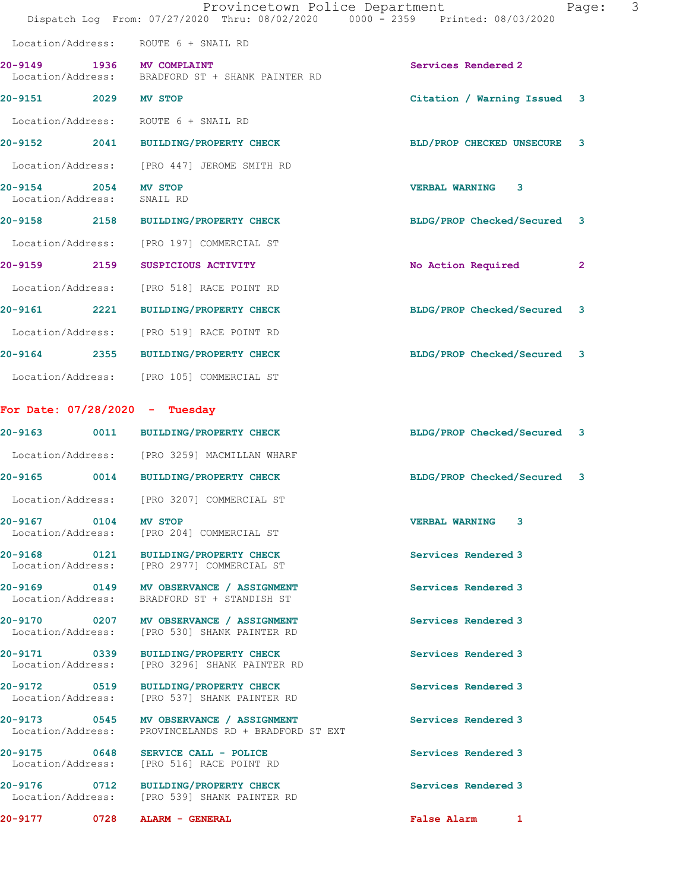|                                   |      | Provincetown Police Department<br>Dispatch Log From: 07/27/2020 Thru: 08/02/2020 0000 - 2359 Printed: 08/03/2020 |                             | Page:        | 3 |
|-----------------------------------|------|------------------------------------------------------------------------------------------------------------------|-----------------------------|--------------|---|
| Location/Address:                 |      | ROUTE 6 + SNAIL RD                                                                                               |                             |              |   |
| 20-9149<br>Location/Address:      |      | 1936 MV COMPLAINT<br>BRADFORD ST + SHANK PAINTER RD                                                              | Services Rendered 2         |              |   |
| 20-9151<br>2029                   |      | <b>MV STOP</b>                                                                                                   | Citation / Warning Issued 3 |              |   |
| Location/Address:                 |      | ROUTE 6 + SNAIL RD                                                                                               |                             |              |   |
|                                   |      | 20-9152 2041 BUILDING/PROPERTY CHECK                                                                             | BLD/PROP CHECKED UNSECURE   | 3            |   |
| Location/Address:                 |      | [PRO 447] JEROME SMITH RD                                                                                        |                             |              |   |
| $20 - 9154$<br>Location/Address:  | 2054 | MV STOP<br>SNAIL RD                                                                                              | <b>VERBAL WARNING</b><br>3  |              |   |
|                                   |      | 20-9158 2158 BUILDING/PROPERTY CHECK                                                                             | BLDG/PROP Checked/Secured   | 3            |   |
| Location/Address:                 |      | [PRO 197] COMMERCIAL ST                                                                                          |                             |              |   |
| 20-9159 2159                      |      | SUSPICIOUS ACTIVITY                                                                                              | No Action Required          | $\mathbf{2}$ |   |
| Location/Address:                 |      | [PRO 518] RACE POINT RD                                                                                          |                             |              |   |
| <b>20-9161</b>                    | 2221 | <b>BUILDING/PROPERTY CHECK</b>                                                                                   | BLDG/PROP Checked/Secured   | 3            |   |
|                                   |      | Location/Address: [PRO 519] RACE POINT RD                                                                        |                             |              |   |
| 20-9164                           |      | 2355 BUILDING/PROPERTY CHECK                                                                                     | BLDG/PROP Checked/Secured   | 3            |   |
|                                   |      | Location/Address: [PRO 105] COMMERCIAL ST                                                                        |                             |              |   |
|                                   |      | For Date: $07/28/2020 -$ Tuesday                                                                                 |                             |              |   |
| 20-9163                           | 0011 | <b>BUILDING/PROPERTY CHECK</b>                                                                                   | BLDG/PROP Checked/Secured 3 |              |   |
|                                   |      | Location/Address: [PRO 3259] MACMILLAN WHARF                                                                     |                             |              |   |
| 20-9165                           |      | 0014 BUILDING/PROPERTY CHECK                                                                                     | BLDG/PROP Checked/Secured   | 3            |   |
| Location/Address:                 |      | [PRO 3207] COMMERCIAL ST                                                                                         |                             |              |   |
| 20-9167 0104 MV STOP              |      | Location/Address: [PRO 204] COMMERCIAL ST                                                                        | <b>VERBAL WARNING 3</b>     |              |   |
|                                   |      | 20-9168 0121 BUILDING/PROPERTY CHECK<br>Location/Address: [PRO 2977] COMMERCIAL ST                               | Services Rendered 3         |              |   |
| Location/Address:                 |      | 20-9169 0149 MV OBSERVANCE / ASSIGNMENT<br>BRADFORD ST + STANDISH ST                                             | Services Rendered 3         |              |   |
| Location/Address:                 |      | 20-9170 0207 MV OBSERVANCE / ASSIGNMENT<br>[PRO 530] SHANK PAINTER RD                                            | Services Rendered 3         |              |   |
| Location/Address:                 |      | [PRO 3296] SHANK PAINTER RD                                                                                      | Services Rendered 3         |              |   |
| 20-9172 0519<br>Location/Address: |      | BUILDING/PROPERTY CHECK<br>[PRO 537] SHANK PAINTER RD                                                            | Services Rendered 3         |              |   |
|                                   |      | 20-9173 0545 MV OBSERVANCE / ASSIGNMENT<br>Location/Address: PROVINCELANDS RD + BRADFORD ST EXT                  | Services Rendered 3         |              |   |
| Location/Address:                 |      | 20-9175 0648 SERVICE CALL - POLICE<br>[PRO 516] RACE POINT RD                                                    | Services Rendered 3         |              |   |
|                                   |      | 20-9176 0712 BUILDING/PROPERTY CHECK<br>Location/Address: [PRO 539] SHANK PAINTER RD                             | Services Rendered 3         |              |   |
| 20-9177                           |      | 0728 ALARM - GENERAL                                                                                             | False Alarm 1               |              |   |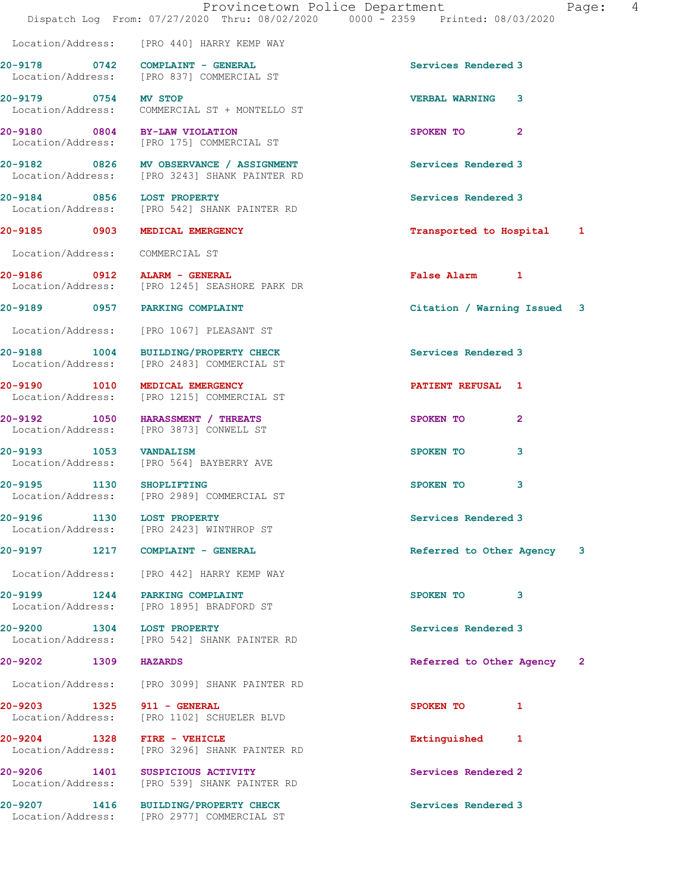|                                   | Dispatch Log From: 07/27/2020 Thru: 08/02/2020 0000 - 2359 Printed: 08/03/2020           | Provincetown Police Department<br>4<br>Page: |
|-----------------------------------|------------------------------------------------------------------------------------------|----------------------------------------------|
|                                   | Location/Address: [PRO 440] HARRY KEMP WAY                                               |                                              |
|                                   | 20-9178 0742 COMPLAINT - GENERAL<br>Location/Address: [PRO 837] COMMERCIAL ST            | Services Rendered 3                          |
| 20-9179 0754 MV STOP              | Location/Address: COMMERCIAL ST + MONTELLO ST                                            | <b>VERBAL WARNING</b><br>3                   |
| 20-9180 0804 BY-LAW VIOLATION     | Location/Address: [PRO 175] COMMERCIAL ST                                                | SPOKEN TO<br>$\mathbf{2}$                    |
|                                   | 20-9182 0826 MV OBSERVANCE / ASSIGNMENT<br>Location/Address: [PRO 3243] SHANK PAINTER RD | Services Rendered 3                          |
| 20-9184 0856 LOST PROPERTY        | Location/Address: [PRO 542] SHANK PAINTER RD                                             | Services Rendered 3                          |
|                                   | 20-9185 0903 MEDICAL EMERGENCY                                                           | Transported to Hospital 1                    |
| Location/Address: COMMERCIAL ST   |                                                                                          |                                              |
| 20-9186 0912 ALARM - GENERAL      | Location/Address: [PRO 1245] SEASHORE PARK DR                                            | False Alarm 1                                |
|                                   | 20-9189 0957 PARKING COMPLAINT                                                           | Citation / Warning Issued 3                  |
|                                   | Location/Address: [PRO 1067] PLEASANT ST                                                 |                                              |
|                                   | 20-9188 1004 BUILDING/PROPERTY CHECK<br>Location/Address: [PRO 2483] COMMERCIAL ST       | Services Rendered 3                          |
|                                   | 20-9190 1010 MEDICAL EMERGENCY<br>Location/Address: [PRO 1215] COMMERCIAL ST             | <b>PATIENT REFUSAL 1</b>                     |
|                                   | 20-9192 1050 HARASSMENT / THREATS<br>Location/Address: [PRO 3873] CONWELL ST             | SPOKEN TO<br>2                               |
|                                   | 20-9193 1053 VANDALISM<br>Location/Address: [PRO 564] BAYBERRY AVE                       | 3<br>SPOKEN TO                               |
|                                   | 20-9195 1130 SHOPLIFTING<br>Location/Address: [PRO 2989] COMMERCIAL ST                   | SPOKEN TO<br>3                               |
| 20-9196 1130 LOST PROPERTY        | Location/Address: [PRO 2423] WINTHROP ST                                                 | Services Rendered 3                          |
|                                   | 20-9197 1217 COMPLAINT - GENERAL                                                         | Referred to Other Agency 3                   |
|                                   | Location/Address: [PRO 442] HARRY KEMP WAY                                               |                                              |
|                                   | 20-9199 1244 PARKING COMPLAINT<br>Location/Address: [PRO 1895] BRADFORD ST               | SPOKEN TO<br>3                               |
| 20-9200 1304 LOST PROPERTY        | Location/Address: [PRO 542] SHANK PAINTER RD                                             | Services Rendered 3                          |
| 20-9202 1309 HAZARDS              |                                                                                          | Referred to Other Agency 2                   |
|                                   | Location/Address: [PRO 3099] SHANK PAINTER RD                                            |                                              |
| 20-9203     1325                  | 911 - GENERAL<br>Location/Address: [PRO 1102] SCHUELER BLVD                              | SPOKEN TO 1                                  |
| 20-9204 1328<br>Location/Address: | FIRE - VEHICLE<br>[PRO 3296] SHANK PAINTER RD                                            | Extinguished 1                               |
|                                   | 20-9206 1401 SUSPICIOUS ACTIVITY<br>Location/Address: [PRO 539] SHANK PAINTER RD         | Services Rendered 2                          |
| 1416<br>20-9207                   | <b>BUILDING/PROPERTY CHECK</b>                                                           | Services Rendered 3                          |

Location/Address: [PRO 2977] COMMERCIAL ST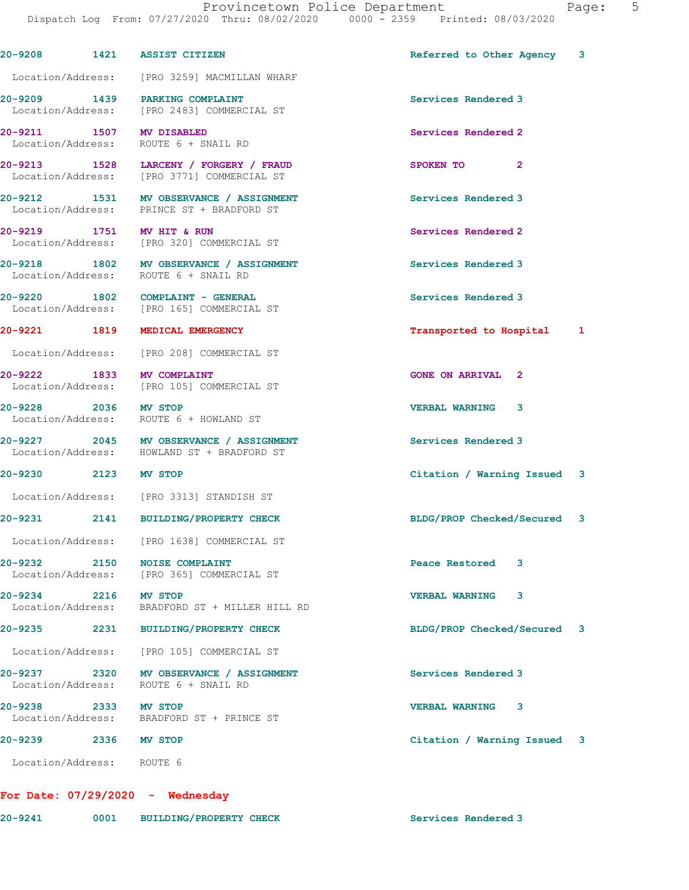20-9208 1421 ASSIST CITIZEN **Referred to Other Agency** 3 Location/Address: [PRO 3259] MACMILLAN WHARF 20-9209 1439 PARKING COMPLAINT Services Rendered 3 Location/Address: [PRO 2483] COMMERCIAL ST 20-9211 1507 MV DISABLED 20-9211 20-5 Services Rendered 2 Location/Address: ROUTE 6 + SNAIL RD 20-9213 1528 LARCENY / FORGERY / FRAUD SPOKEN TO 2<br>
Location/Address: [PRO 3771] COMMERCIAL ST [PRO 3771] COMMERCIAL ST 20-9212 1531 MV OBSERVANCE / ASSIGNMENT Services Rendered 3 Location/Address: PRINCE ST + BRADFORD ST 20-9219 1751 MV HIT & RUN Services Rendered 2 Location/Address: [PRO 320] COMMERCIAL ST 20-9218 1802 MV OBSERVANCE / ASSIGNMENT Services Rendered 3 Location/Address: ROUTE 6 + SNAIL RD 20-9220 1802 COMPLAINT - GENERAL 20-9220 Services Rendered 3<br>
Location/Address: [PRO 165] COMMERCIAL ST [PRO 165] COMMERCIAL ST 20-9221 1819 MEDICAL EMERGENCY **1819 1819 MEDICAL EMERGENCY** 1819 1 Location/Address: [PRO 208] COMMERCIAL ST 20-9222 1833 MV COMPLAINT 1999 120 CONE ON ARRIVAL 2 Location/Address: [PRO 105] COMMERCIAL ST 20-9228 2036 MV STOP VERBAL WARNING 3 Location/Address: ROUTE 6 + HOWLAND ST 20-9227 2045 MV OBSERVANCE / ASSIGNMENT Services Rendered 3 Location/Address: HOWLAND ST + BRADFORD ST 20-9230 2123 MV STOP Citation / Warning Issued 3 Location/Address: [PRO 3313] STANDISH ST 20-9231 2141 BUILDING/PROPERTY CHECK BLDG/PROP Checked/Secured 3 Location/Address: [PRO 1638] COMMERCIAL ST 20-9232 2150 NOISE COMPLAINT Peace Restored 3 Location/Address: [PRO 365] COMMERCIAL ST 20-9234 2216 MV STOP VERBAL WARNING 3 Location/Address: BRADFORD ST + MILLER HILL RD 20-9235 2231 BUILDING/PROPERTY CHECK BLDG/PROP Checked/Secured 3 Location/Address: [PRO 105] COMMERCIAL ST 20-9237 2320 MV OBSERVANCE / ASSIGNMENT Services Rendered 3 Location/Address: ROUTE 6 + SNAIL RD 20-9238 2333 MV STOP VERBAL WARNING 3 Location/Address: BRADFORD ST + PRINCE ST 20-9239 2336 MV STOP Citation / Warning Issued 3 Location/Address: ROUTE 6

## For Date: 07/29/2020 - Wednesday

| $20 - 9241$ | 0001 | <b>BUILDING/PROPERTY CHECK</b> |  |
|-------------|------|--------------------------------|--|
|             |      |                                |  |

Services Rendered 3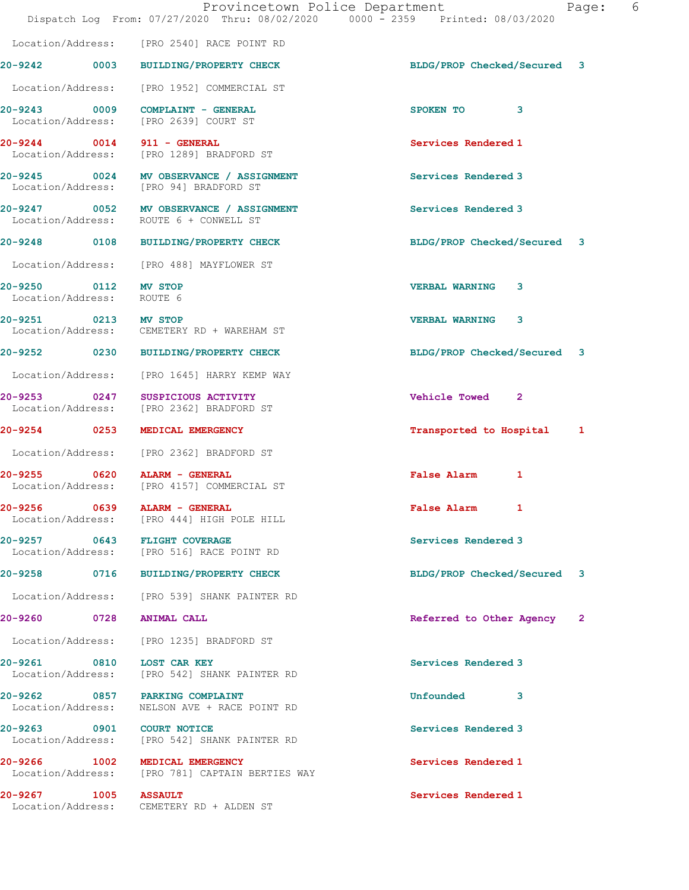|                                                   | Dispatch Log From: 07/27/2020 Thru: 08/02/2020 0000 - 2359 Printed: 08/03/2020    | Provincetown Police Department<br>Page:  | 6 |
|---------------------------------------------------|-----------------------------------------------------------------------------------|------------------------------------------|---|
|                                                   | Location/Address: [PRO 2540] RACE POINT RD                                        |                                          |   |
|                                                   | 20-9242 0003 BUILDING/PROPERTY CHECK                                              | BLDG/PROP Checked/Secured 3              |   |
|                                                   | Location/Address: [PRO 1952] COMMERCIAL ST                                        |                                          |   |
|                                                   | $20-9243$ 0009 COMPLAINT - GENERAL<br>Location/Address: [PRO 2639] COURT ST       | SPOKEN TO 3                              |   |
|                                                   | 20-9244 0014 911 - GENERAL<br>Location/Address: [PRO 1289] BRADFORD ST            | Services Rendered 1                      |   |
|                                                   | 20-9245 0024 MV OBSERVANCE / ASSIGNMENT<br>Location/Address: [PRO 94] BRADFORD ST | Services Rendered 3                      |   |
|                                                   | 20-9247 0052 MV OBSERVANCE / ASSIGNMENT<br>Location/Address: ROUTE 6 + CONWELL ST | Services Rendered 3                      |   |
|                                                   | 20-9248 0108 BUILDING/PROPERTY CHECK                                              | BLDG/PROP Checked/Secured 3              |   |
|                                                   | Location/Address: [PRO 488] MAYFLOWER ST                                          |                                          |   |
| 20-9250 0112 MV STOP<br>Location/Address: ROUTE 6 |                                                                                   | <b>VERBAL WARNING</b><br>3               |   |
| 20-9251 0213 MV STOP                              | Location/Address: CEMETERY RD + WAREHAM ST                                        | <b>VERBAL WARNING 3</b>                  |   |
|                                                   | 20-9252 0230 BUILDING/PROPERTY CHECK                                              | BLDG/PROP Checked/Secured 3              |   |
|                                                   | Location/Address: [PRO 1645] HARRY KEMP WAY                                       |                                          |   |
| Location/Address:                                 | 20-9253 0247 SUSPICIOUS ACTIVITY<br>[PRO 2362] BRADFORD ST                        | Vehicle Towed 2                          |   |
|                                                   | 20-9254 0253 MEDICAL EMERGENCY                                                    | Transported to Hospital 1                |   |
|                                                   | Location/Address: [PRO 2362] BRADFORD ST                                          |                                          |   |
|                                                   | 20-9255 0620 ALARM - GENERAL<br>Location/Address: [PRO 4157] COMMERCIAL ST        | False Alarm 1                            |   |
| 20-9256                                           | 0639 ALARM - GENERAL<br>Location/Address: [PRO 444] HIGH POLE HILL                | False Alarm 1                            |   |
|                                                   | 20-9257 0643 FLIGHT COVERAGE<br>Location/Address: [PRO 516] RACE POINT RD         | Services Rendered 3                      |   |
|                                                   | 20-9258 0716 BUILDING/PROPERTY CHECK                                              | BLDG/PROP Checked/Secured 3              |   |
|                                                   | Location/Address: [PRO 539] SHANK PAINTER RD                                      |                                          |   |
|                                                   | 20-9260 0728 ANIMAL CALL                                                          | Referred to Other Agency<br>$\mathbf{2}$ |   |
|                                                   | Location/Address: [PRO 1235] BRADFORD ST                                          |                                          |   |
| 20-9261 0810                                      | <b>LOST CAR KEY</b><br>Location/Address: [PRO 542] SHANK PAINTER RD               | Services Rendered 3                      |   |
| Location/Address:                                 | 20-9262 0857 PARKING COMPLAINT<br>NELSON AVE + RACE POINT RD                      | Unfounded 3                              |   |
| Location/Address:                                 | [PRO 542] SHANK PAINTER RD                                                        | Services Rendered 3                      |   |
|                                                   | 20-9266 1002 MEDICAL EMERGENCY<br>Location/Address: [PRO 781] CAPTAIN BERTIES WAY | Services Rendered 1                      |   |
| 20-9267 1005                                      | <b>ASSAULT</b><br>Location/Address: CEMETERY RD + ALDEN ST                        | Services Rendered 1                      |   |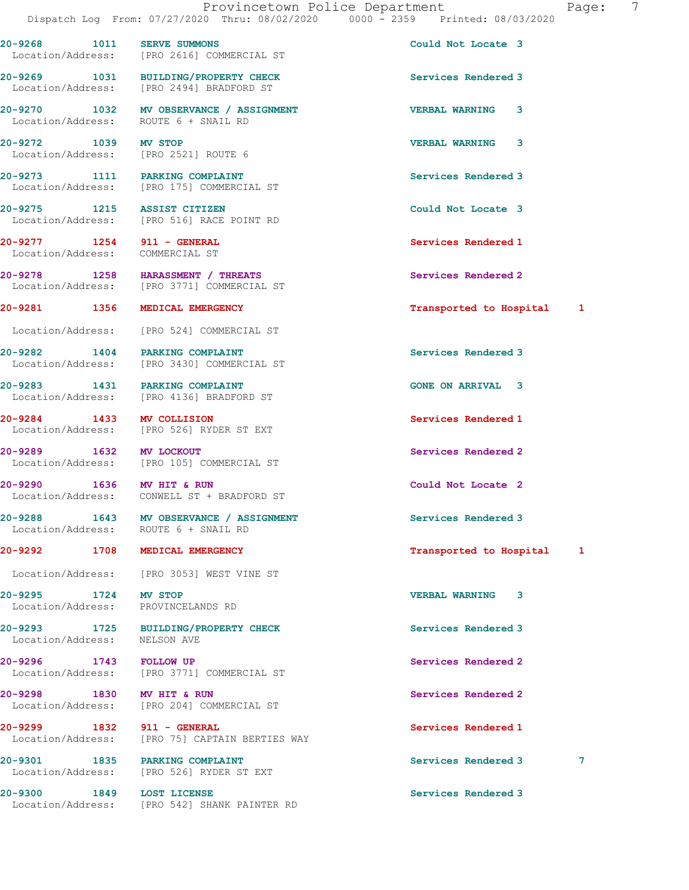Location/Address: [PRO 2616] COMMERCIAL ST

20-9272 1039 MV STOP VERBAL WARNING 3

Location/Address: COMMERCIAL ST

20-9284 1433 MV COLLISION Services Rendered 1

Location/Address: ROUTE 6 + SNAIL RD

Location/Address: PROVINCELANDS RD

Location/Address:

20-9269 1031 BUILDING/PROPERTY CHECK Services Rendered 3 Location/Address: [PRO 2494] BRADFORD ST

20-9270 1032 MV OBSERVANCE / ASSIGNMENT VERBAL WARNING 3 Location/Address: ROUTE 6 + SNAIL RD

Location/Address: [PRO 2521] ROUTE 6

20-9273 1111 PARKING COMPLAINT Services Rendered 3 Location/Address: [PRO 175] COMMERCIAL ST

20-9275 1215 ASSIST CITIZEN COULD Could Not Locate 3 Location/Address: [PRO 516] RACE POINT RD

20-9278 1258 HARASSMENT / THREATS Services Rendered 2 Location/Address: [PRO 3771] COMMERCIAL ST

Location/Address: [PRO 524] COMMERCIAL ST

20-9282 1404 PARKING COMPLAINT Services Rendered 3 Location/Address: [PRO 3430] COMMERCIAL ST

20-9283 1431 PARKING COMPLAINT GONE ON ARRIVAL 3 Location/Address: [PRO 4136] BRADFORD ST

Location/Address: [PRO 526] RYDER ST EXT

20-9289 1632 MV LOCKOUT (20-9289 1632 MV LOCKOUT Services Rendered 2 [PRO 105] COMMERCIAL ST

20-9290 1636 MV HIT & RUN Could Not Locate 2 Location/Address: CONWELL ST + BRADFORD ST

20-9288 1643 MV OBSERVANCE / ASSIGNMENT Services Rendered 3

Location/Address: [PRO 3053] WEST VINE ST

20-9293 1725 BUILDING/PROPERTY CHECK Services Rendered 3<br>
Location/Address: NELSON AVE

20-9296 1743 FOLLOW UP Services Rendered 2 Location/Address: [PRO 3771] COMMERCIAL ST

20-9298 1830 MV HIT & RUN Services Rendered 2 Location/Address: [PRO 204] COMMERCIAL ST

20-9299 1832 911 - GENERAL Services Rendered 1 Location/Address: [PRO 75] CAPTAIN BERTIES WAY

20-9301 1835 PARKING COMPLAINT Services Rendered 3 7 Location/Address: [PRO 526] RYDER ST EXT

20-9300 1849 LOST LICENSE Services Rendered 3 Location/Address: [PRO 542] SHANK PAINTER RD

20-9268 1011 SERVE SUMMONS 20 20 Could Not Locate 3

20-9277 1254 911 - GENERAL Services Rendered 1

20-9281 1356 MEDICAL EMERGENCY 120 1 12 Transported to Hospital 1

20-9292 1708 MEDICAL EMERGENCY 1200 17 Transported to Hospital 1

20-9295 1724 MV STOP VERBAL WARNING 3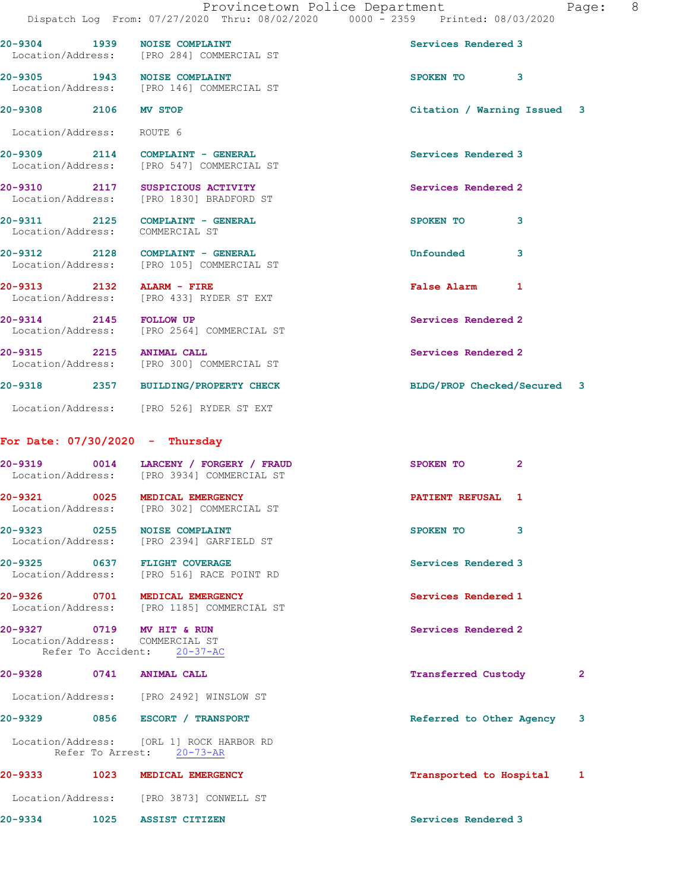| 20-9304 1939                 | <b>NOISE COMPLAINT</b><br>Location/Address: [PRO 284] COMMERCIAL ST                  | Services Rendered 3         |  |
|------------------------------|--------------------------------------------------------------------------------------|-----------------------------|--|
|                              | 20-9305 1943 NOISE COMPLAINT<br>Location/Address: [PRO 146] COMMERCIAL ST            | SPOKEN TO 3                 |  |
| 20-9308 2106 MV STOP         |                                                                                      | Citation / Warning Issued 3 |  |
| Location/Address: ROUTE 6    |                                                                                      |                             |  |
|                              | 20-9309 2114 COMPLAINT - GENERAL<br>Location/Address: [PRO 547] COMMERCIAL ST        | Services Rendered 3         |  |
|                              | 20-9310 2117 SUSPICIOUS ACTIVITY<br>Location/Address: [PRO 1830] BRADFORD ST         | Services Rendered 2         |  |
|                              | 20-9311 2125 COMPLAINT - GENERAL<br>Location/Address: COMMERCIAL ST                  | SPOKEN TO<br>3              |  |
|                              | 20-9312 2128 COMPLAINT - GENERAL<br>Location/Address: [PRO 105] COMMERCIAL ST        | 3<br><b>Unfounded</b>       |  |
|                              | 20-9313 2132 ALARM - FIRE<br>Location/Address: [PRO 433] RYDER ST EXT                | <b>False Alarm</b><br>1     |  |
| 20-9314 2145 FOLLOW UP       | Location/Address: [PRO 2564] COMMERCIAL ST                                           | Services Rendered 2         |  |
| 20-9315 2215 ANIMAL CALL     | Location/Address: [PRO 300] COMMERCIAL ST                                            | Services Rendered 2         |  |
|                              | 20-9318 2357 BUILDING/PROPERTY CHECK                                                 | BLDG/PROP Checked/Secured 3 |  |
|                              | Location/Address: [PRO 526] RYDER ST EXT                                             |                             |  |
|                              | For Date: $07/30/2020 -$ Thursday                                                    |                             |  |
|                              | 20-9319 0014 LARCENY / FORGERY / FRAUD<br>Location/Address: [PRO 3934] COMMERCIAL ST | SPOKEN TO<br>$\overline{2}$ |  |
| $\overline{0025}$<br>20-9321 | MEDICAL EMERGENCY                                                                    | PATIENT REFUSAL 1           |  |

20-9323 0255 NOISE COMPLAINT CONSERVERSE SPOKEN TO 3 Location/Address: [PRO 2394] GARFIELD ST

20-9325 0637 FLIGHT COVERAGE Services Rendered 3 Location/Address: [PRO 516] RACE POINT RD

20-9326 0701 MEDICAL EMERGENCY Services Rendered 1 Location/Address: [PRO 1185] COMMERCIAL ST

20-9327 0719 MV HIT & RUN Services Rendered 2 Location/Address: COMMERCIAL ST Refer To Accident: 20-37-AC

Location/Address: [PRO 302] COMMERCIAL ST

| 20-9328           | 0741             | <b>ANIMAL CALL</b>                       | <b>Transferred Custody</b> | $\mathbf{2}$ |
|-------------------|------------------|------------------------------------------|----------------------------|--------------|
| Location/Address: |                  | [PRO 2492] WINSLOW ST                    |                            |              |
| 20-9329           | 0856             | ESCORT /<br><b>TRANSPORT</b>             | Referred to Other Agency   | 3            |
| Location/Address: | Refer To Arrest: | [ORL 1] ROCK HARBOR RD<br>$20 - 73 - AR$ |                            |              |
| 20-9333           | 1023             | MEDICAL EMERGENCY                        | Transported to Hospital    | $\mathbf{1}$ |
| Location/Address: |                  | [PRO 3873] CONWELL ST                    |                            |              |

20-9334 1025 ASSIST CITIZEN Services Rendered 3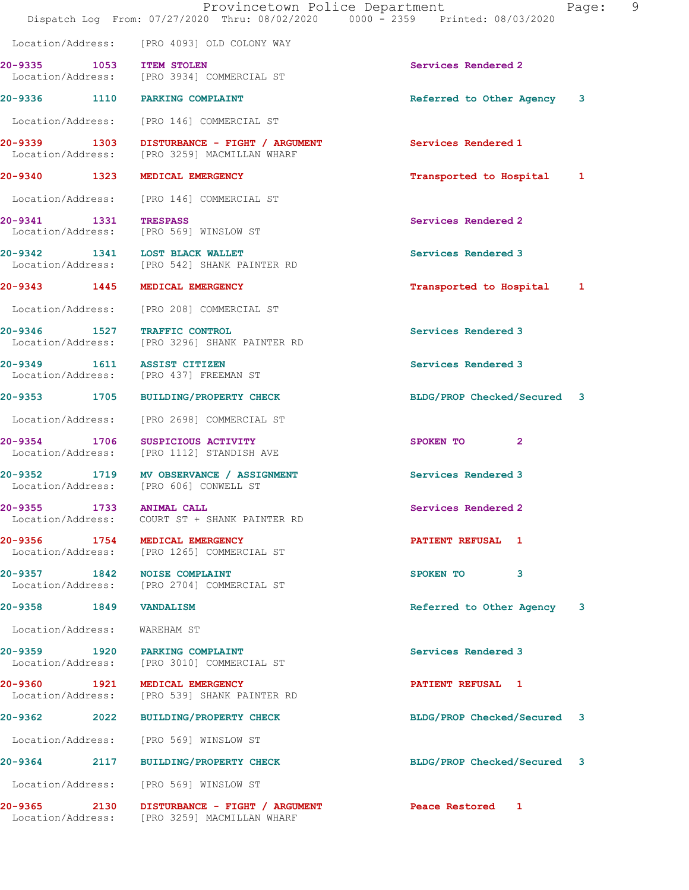|                              | Dispatch Log From: 07/27/2020 Thru: 08/02/2020 0000 - 2359 Printed: 08/03/2020              | Provincetown Police Department | - 9<br>Page: |
|------------------------------|---------------------------------------------------------------------------------------------|--------------------------------|--------------|
|                              | Location/Address: [PRO 4093] OLD COLONY WAY                                                 |                                |              |
| 20-9335 1053 ITEM STOLEN     | Location/Address: [PRO 3934] COMMERCIAL ST                                                  | Services Rendered 2            |              |
|                              | 20-9336 1110 PARKING COMPLAINT                                                              | Referred to Other Agency 3     |              |
|                              | Location/Address: [PRO 146] COMMERCIAL ST                                                   |                                |              |
|                              | 20-9339 1303 DISTURBANCE - FIGHT / ARGUMENT<br>Location/Address: [PRO 3259] MACMILLAN WHARF | Services Rendered 1            |              |
|                              | 20-9340 1323 MEDICAL EMERGENCY                                                              | Transported to Hospital 1      |              |
|                              | Location/Address: [PRO 146] COMMERCIAL ST                                                   |                                |              |
| 20-9341 1331 TRESPASS        | Location/Address: [PRO 569] WINSLOW ST                                                      | Services Rendered 2            |              |
|                              | 20-9342 1341 LOST BLACK WALLET<br>Location/Address: [PRO 542] SHANK PAINTER RD              | Services Rendered 3            |              |
|                              | 20-9343 1445 MEDICAL EMERGENCY                                                              | Transported to Hospital 1      |              |
|                              | Location/Address: [PRO 208] COMMERCIAL ST                                                   |                                |              |
| 20-9346 1527 TRAFFIC CONTROL | Location/Address: [PRO 3296] SHANK PAINTER RD                                               | Services Rendered 3            |              |
| 20-9349 1611 ASSIST CITIZEN  | Location/Address: [PRO 437] FREEMAN ST                                                      | Services Rendered 3            |              |
|                              | 20-9353 1705 BUILDING/PROPERTY CHECK                                                        | BLDG/PROP Checked/Secured 3    |              |
|                              | Location/Address: [PRO 2698] COMMERCIAL ST                                                  |                                |              |
|                              | 20-9354 1706 SUSPICIOUS ACTIVITY<br>Location/Address: [PRO 1112] STANDISH AVE               | SPOKEN TO<br>$\mathbf{2}$      |              |
|                              | 20-9352 1719 MV OBSERVANCE / ASSIGNMENT<br>Location/Address: [PRO 606] CONWELL ST           | Services Rendered 3            |              |
| 20-9355 1733 ANIMAL CALL     | Location/Address: COURT ST + SHANK PAINTER RD                                               | Services Rendered 2            |              |
|                              | 20-9356 1754 MEDICAL EMERGENCY<br>Location/Address: [PRO 1265] COMMERCIAL ST                | PATIENT REFUSAL 1              |              |
| 20-9357 1842 NOISE COMPLAINT | Location/Address: [PRO 2704] COMMERCIAL ST                                                  | SPOKEN TO 3                    |              |
| 20-9358 1849 VANDALISM       |                                                                                             | Referred to Other Agency       | 3            |
| Location/Address: WAREHAM ST |                                                                                             |                                |              |
|                              | 20-9359 1920 PARKING COMPLAINT<br>Location/Address: [PRO 3010] COMMERCIAL ST                | Services Rendered 3            |              |
|                              | 20-9360 1921 MEDICAL EMERGENCY<br>Location/Address: [PRO 539] SHANK PAINTER RD              | PATIENT REFUSAL 1              |              |
|                              | 20-9362 2022 BUILDING/PROPERTY CHECK                                                        | BLDG/PROP Checked/Secured 3    |              |
|                              | Location/Address: [PRO 569] WINSLOW ST                                                      |                                |              |
|                              | 20-9364 2117 BUILDING/PROPERTY CHECK                                                        | BLDG/PROP Checked/Secured 3    |              |
|                              | Location/Address: [PRO 569] WINSLOW ST                                                      |                                |              |
|                              | 20-9365 2130 DISTURBANCE - FIGHT / ARGUMENT<br>Location/Address: [PRO 3259] MACMILLAN WHARF | Peace Restored 1               |              |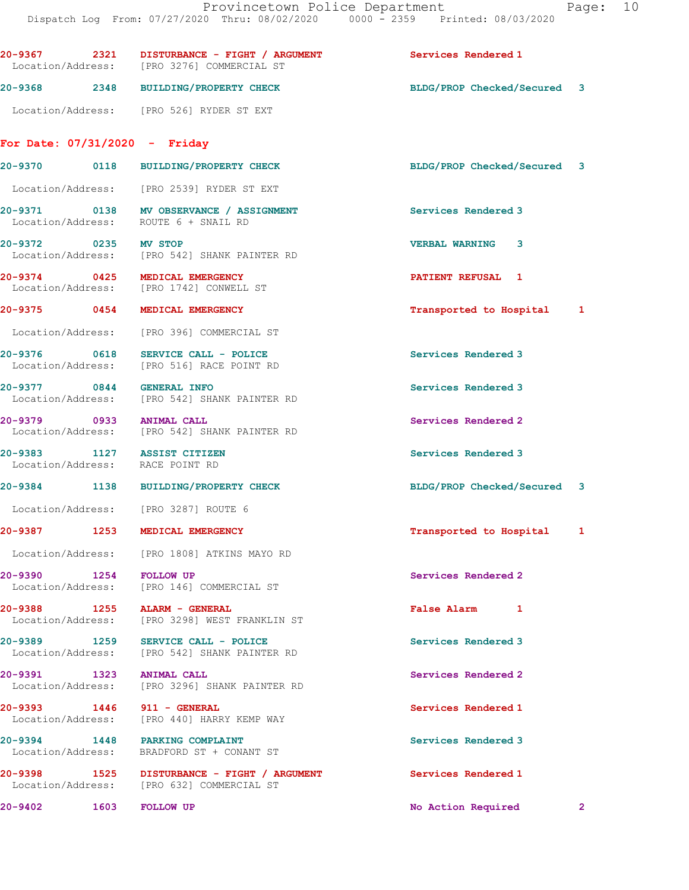20-9367 2321 DISTURBANCE - FIGHT / ARGUMENT Services Rendered 1 Location/Address: [PRO 3276] COMMERCIAL ST 20-9368 2348 BUILDING/PROPERTY CHECK BLDG/PROP Checked/Secured 3 Location/Address: [PRO 526] RYDER ST EXT For Date: 07/31/2020 - Friday 20-9370 0118 BUILDING/PROPERTY CHECK BLDG/PROP Checked/Secured 3 Location/Address: [PRO 2539] RYDER ST EXT 20-9371 0138 MV OBSERVANCE / ASSIGNMENT Services Rendered 3 Location/Address: ROUTE 6 + SNAIL RD 20-9372 0235 MV STOP VERBAL WARNING 3 Location/Address: [PRO 542] SHANK PAINTER RD 20-9374 0425 MEDICAL EMERGENCY PATIENT REFUSAL 1<br>
Location/Address: [PRO 1742] CONWELL ST [PRO 1742] CONWELL ST 20-9375 0454 MEDICAL EMERGENCY Transported to Hospital 1 Location/Address: [PRO 396] COMMERCIAL ST 20-9376 0618 SERVICE CALL - POLICE 2010 Services Rendered 3<br>
Location/Address: [PRO 516] RACE POINT RD [PRO 516] RACE POINT RD 20-9377 0844 GENERAL INFO Services Rendered 3 Location/Address: [PRO 542] SHANK PAINTER RD 20-9379 0933 ANIMAL CALL Services Rendered 2 Location/Address: [PRO 542] SHANK PAINTER RD 20-9383 1127 ASSIST CITIZEN Services Rendered 3 Location/Address: RACE POINT RD 20-9384 1138 BUILDING/PROPERTY CHECK BLDG/PROP Checked/Secured 3 Location/Address: [PRO 3287] ROUTE 6 20-9387 1253 MEDICAL EMERGENCY **1253** 1253 126 metambroom of the Medicine of Transported to Hospital 1 Location/Address: [PRO 1808] ATKINS MAYO RD 20-9390 1254 FOLLOW UP Services Rendered 2 Location/Address: [PRO 146] COMMERCIAL ST 20-9388 1255 ALARM - GENERAL False Alarm 1 Location/Address: [PRO 3298] WEST FRANKLIN ST 20-9389 1259 SERVICE CALL - POLICE SERVICE Services Rendered 3<br>
Location/Address: [PRO 542] SHANK PAINTER RD Location/Address: [PRO 542] SHANK PAINTER RD 20-9391 1323 ANIMAL CALL Services Rendered 2 Location/Address: [PRO 3296] SHANK PAINTER RD 20-9393 1446 911 - GENERAL Services Rendered 1 Location/Address: [PRO 440] HARRY KEMP WAY 20-9394 1448 PARKING COMPLAINT Services Rendered 3 Location/Address: BRADFORD ST + CONANT ST 20-9398 1525 DISTURBANCE - FIGHT / ARGUMENT Services Rendered 1 Location/Address: [PRO 632] COMMERCIAL ST 20-9402 1603 FOLLOW UP No Action Required 2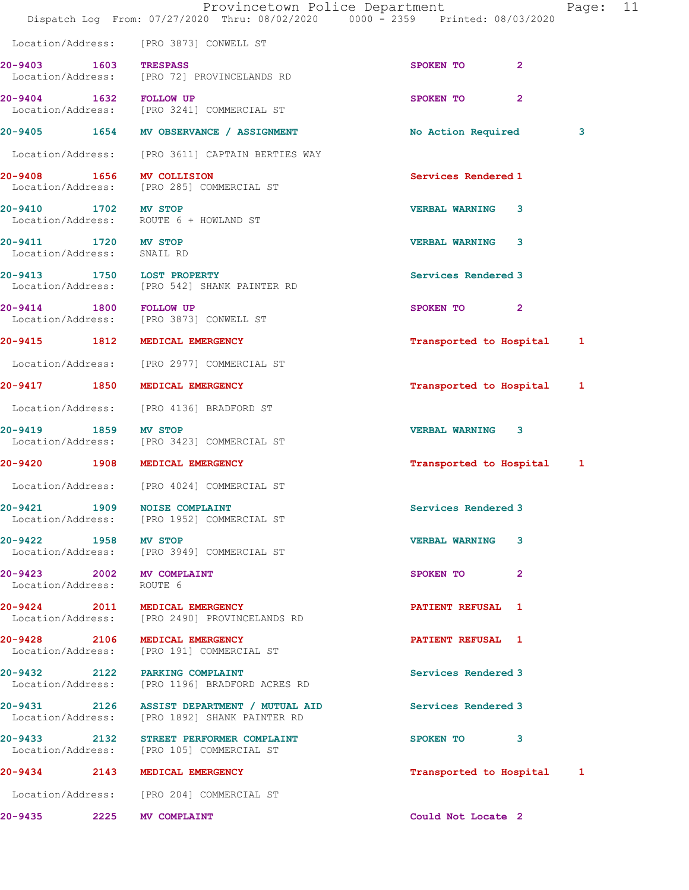|                                                                                      |                   | Provincetown Police Department<br>Dispatch Log From: 07/27/2020 Thru: 08/02/2020 0000 - 2359 Printed: 08/03/2020 |                           |                | Page: | 11 |
|--------------------------------------------------------------------------------------|-------------------|------------------------------------------------------------------------------------------------------------------|---------------------------|----------------|-------|----|
| Location/Address: [PRO 3873] CONWELL ST                                              |                   |                                                                                                                  |                           |                |       |    |
| 20-9403 1603 TRESPASS<br>Location/Address: [PRO 72] PROVINCELANDS RD                 |                   |                                                                                                                  | SPOKEN TO                 | $\mathbf{2}$   |       |    |
| 20-9404 1632 FOLLOW UP<br>Location/Address: [PRO 3241] COMMERCIAL ST                 |                   |                                                                                                                  | SPOKEN TO                 | $\overline{2}$ |       |    |
| 20-9405 1654 MV OBSERVANCE / ASSIGNMENT                                              |                   |                                                                                                                  | No Action Required        |                | 3     |    |
|                                                                                      |                   | Location/Address: [PRO 3611] CAPTAIN BERTIES WAY                                                                 |                           |                |       |    |
| 20-9408 1656 MV COLLISION<br>Location/Address: [PRO 285] COMMERCIAL ST               |                   |                                                                                                                  | Services Rendered 1       |                |       |    |
| 20-9410 1702 MV STOP<br>Location/Address: ROUTE 6 + HOWLAND ST                       |                   |                                                                                                                  | <b>VERBAL WARNING</b>     | 3              |       |    |
| 20-9411 1720 MV STOP<br>Location/Address: SNAIL RD                                   |                   |                                                                                                                  | <b>VERBAL WARNING 3</b>   |                |       |    |
| 20-9413 1750 LOST PROPERTY<br>Location/Address: [PRO 542] SHANK PAINTER RD           |                   |                                                                                                                  | Services Rendered 3       |                |       |    |
| 20-9414<br>Location/Address: [PRO 3873] CONWELL ST                                   | 1800 FOLLOW UP    |                                                                                                                  | SPOKEN TO 2               |                |       |    |
| 20-9415 1812 MEDICAL EMERGENCY                                                       |                   |                                                                                                                  | Transported to Hospital   |                | 1     |    |
| Location/Address: [PRO 2977] COMMERCIAL ST                                           |                   |                                                                                                                  |                           |                |       |    |
| 20-9417 1850                                                                         | MEDICAL EMERGENCY |                                                                                                                  | Transported to Hospital   |                | 1     |    |
| Location/Address: [PRO 4136] BRADFORD ST                                             |                   |                                                                                                                  |                           |                |       |    |
| 20-9419<br>Location/Address: [PRO 3423] COMMERCIAL ST                                | 1859 MV STOP      |                                                                                                                  | <b>VERBAL WARNING 3</b>   |                |       |    |
| 20-9420 1908 MEDICAL EMERGENCY                                                       |                   |                                                                                                                  | Transported to Hospital 1 |                |       |    |
| Location/Address: [PRO 4024] COMMERCIAL ST                                           |                   |                                                                                                                  |                           |                |       |    |
| 20-9421 1909 NOISE COMPLAINT<br>Location/Address: [PRO 1952] COMMERCIAL ST           |                   |                                                                                                                  | Services Rendered 3       |                |       |    |
| 20-9422 1958 MV STOP<br>Location/Address: [PRO 3949] COMMERCIAL ST                   |                   |                                                                                                                  | <b>VERBAL WARNING 3</b>   |                |       |    |
| 20-9423 2002 MV COMPLAINT<br>Location/Address: ROUTE 6                               |                   |                                                                                                                  | SPOKEN TO                 | $\overline{2}$ |       |    |
| 20-9424 2011 MEDICAL EMERGENCY<br>Location/Address: [PRO 2490] PROVINCELANDS RD      |                   |                                                                                                                  | <b>PATIENT REFUSAL 1</b>  |                |       |    |
| 20-9428 2106 MEDICAL EMERGENCY<br>Location/Address: [PRO 191] COMMERCIAL ST          |                   |                                                                                                                  | <b>PATIENT REFUSAL 1</b>  |                |       |    |
| 20-9432 2122 PARKING COMPLAINT                                                       |                   | Location/Address: [PRO 1196] BRADFORD ACRES RD                                                                   | Services Rendered 3       |                |       |    |
| Location/Address: [PRO 1892] SHANK PAINTER RD                                        |                   | 20-9431 2126 ASSIST DEPARTMENT / MUTUAL AID                                                                      | Services Rendered 3       |                |       |    |
| 20-9433 2132 STREET PERFORMER COMPLAINT<br>Location/Address: [PRO 105] COMMERCIAL ST |                   |                                                                                                                  | SPOKEN TO 3               |                |       |    |
| 20-9434 2143 MEDICAL EMERGENCY                                                       |                   |                                                                                                                  | Transported to Hospital 1 |                |       |    |
| Location/Address: [PRO 204] COMMERCIAL ST                                            |                   |                                                                                                                  |                           |                |       |    |
| 20-9435 2225 MV COMPLAINT                                                            |                   |                                                                                                                  | Could Not Locate 2        |                |       |    |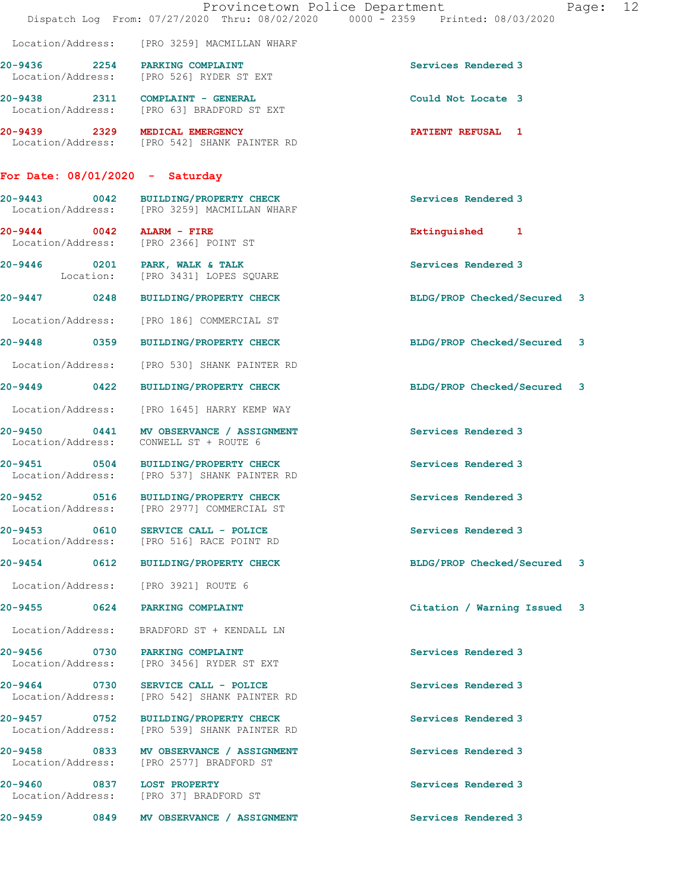|                                                                        | Provincetown Police Department<br>Dispatch Log From: 07/27/2020 Thru: 08/02/2020 0000 - 2359 Printed: 08/03/2020 | Page: 12                    |
|------------------------------------------------------------------------|------------------------------------------------------------------------------------------------------------------|-----------------------------|
|                                                                        | Location/Address: [PRO 3259] MACMILLAN WHARF                                                                     |                             |
| 20-9436 2254 PARKING COMPLAINT                                         | Location/Address: [PRO 526] RYDER ST EXT                                                                         | Services Rendered 3         |
| 20-9438 2311 COMPLAINT - GENERAL                                       | Location/Address: [PRO 63] BRADFORD ST EXT                                                                       | Could Not Locate 3          |
| 20-9439 2329 MEDICAL EMERGENCY                                         | Location/Address: [PRO 542] SHANK PAINTER RD                                                                     | <b>PATIENT REFUSAL 1</b>    |
| For Date: 08/01/2020 - Saturday                                        |                                                                                                                  |                             |
|                                                                        | 20-9443 0042 BUILDING/PROPERTY CHECK<br>Location/Address: [PRO 3259] MACMILLAN WHARF                             | Services Rendered 3         |
| $20 - 9444$ 0042 ALARM - FIRE<br>Location/Address: [PRO 2366] POINT ST |                                                                                                                  | Extinguished 1              |
| 20-9446 0201 PARK, WALK & TALK                                         | Location: [PRO 3431] LOPES SQUARE                                                                                | Services Rendered 3         |
|                                                                        | 20-9447 0248 BUILDING/PROPERTY CHECK                                                                             | BLDG/PROP Checked/Secured 3 |
|                                                                        | Location/Address: [PRO 186] COMMERCIAL ST                                                                        |                             |
|                                                                        | 20-9448 0359 BUILDING/PROPERTY CHECK                                                                             | BLDG/PROP Checked/Secured 3 |
|                                                                        | Location/Address: [PRO 530] SHANK PAINTER RD                                                                     |                             |
|                                                                        | 20-9449 0422 BUILDING/PROPERTY CHECK                                                                             | BLDG/PROP Checked/Secured 3 |
| Location/Address:                                                      | [PRO 1645] HARRY KEMP WAY                                                                                        |                             |
| Location/Address: CONWELL ST + ROUTE 6                                 | 20-9450 0441 MV OBSERVANCE / ASSIGNMENT                                                                          | Services Rendered 3         |
|                                                                        | 20-9451 0504 BUILDING/PROPERTY CHECK<br>Location/Address: [PRO 537] SHANK PAINTER RD                             | Services Rendered 3         |
| 20-9452<br>Location/Address:                                           | 0516 BUILDING/PROPERTY CHECK<br>[PRO 2977] COMMERCIAL ST                                                         | Services Rendered 3         |
|                                                                        | 20-9453 0610 SERVICE CALL - POLICE<br>Location/Address: [PRO 516] RACE POINT RD                                  | Services Rendered 3         |
|                                                                        | 20-9454 0612 BUILDING/PROPERTY CHECK                                                                             | BLDG/PROP Checked/Secured 3 |
| Location/Address: [PRO 3921] ROUTE 6                                   |                                                                                                                  |                             |
| 20-9455 0624 PARKING COMPLAINT                                         |                                                                                                                  | Citation / Warning Issued 3 |
|                                                                        | Location/Address: BRADFORD ST + KENDALL LN                                                                       |                             |
| 20-9456 0730 PARKING COMPLAINT                                         | Location/Address: [PRO 3456] RYDER ST EXT                                                                        | Services Rendered 3         |
|                                                                        | 20-9464 0730 SERVICE CALL - POLICE<br>Location/Address: [PRO 542] SHANK PAINTER RD                               | Services Rendered 3         |
|                                                                        | 20-9457 0752 BUILDING/PROPERTY CHECK<br>Location/Address: [PRO 539] SHANK PAINTER RD                             | Services Rendered 3         |
|                                                                        | 20-9458 0833 MV OBSERVANCE / ASSIGNMENT<br>Location/Address: [PRO 2577] BRADFORD ST                              | Services Rendered 3         |
| 20-9460 0837 LOST PROPERTY<br>Location/Address: [PRO 37] BRADFORD ST   |                                                                                                                  | Services Rendered 3         |
|                                                                        | 20-9459 0849 MV OBSERVANCE / ASSIGNMENT                                                                          | Services Rendered 3         |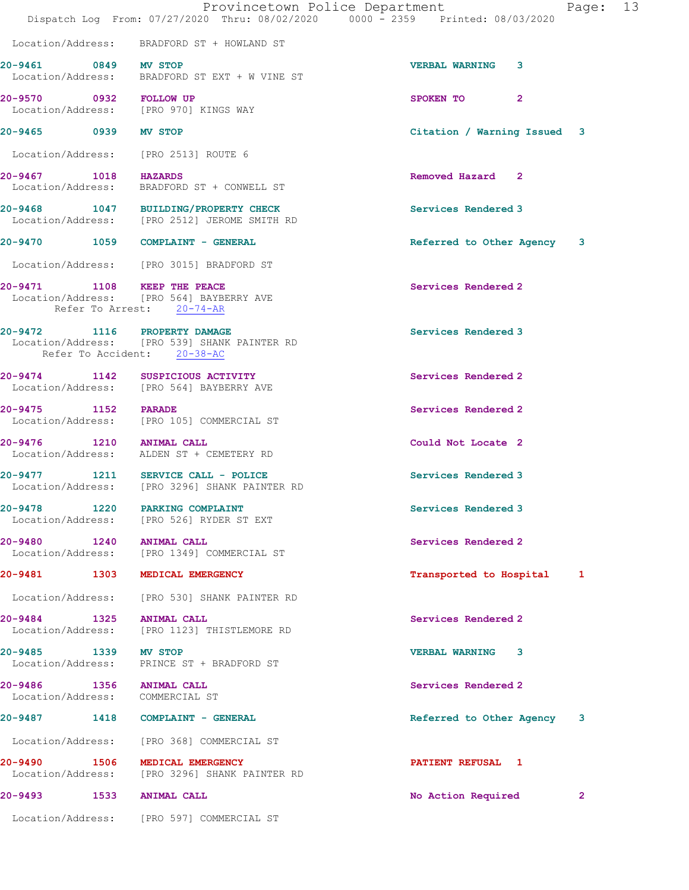|                        |                                                                                                             | Provincetown Police Department<br>Page: 13<br>Dispatch Log From: 07/27/2020 Thru: 08/02/2020 0000 - 2359 Printed: 08/03/2020 |
|------------------------|-------------------------------------------------------------------------------------------------------------|------------------------------------------------------------------------------------------------------------------------------|
|                        | Location/Address: BRADFORD ST + HOWLAND ST                                                                  |                                                                                                                              |
| 20-9461 0849 MV STOP   | Location/Address: BRADFORD ST EXT + W VINE ST                                                               | <b>VERBAL WARNING</b><br>3                                                                                                   |
| 20-9570 0932 FOLLOW UP | Location/Address: [PRO 970] KINGS WAY                                                                       | $\mathbf{2}$<br>SPOKEN TO                                                                                                    |
| 20-9465 0939 MV STOP   |                                                                                                             | Citation / Warning Issued 3                                                                                                  |
|                        | Location/Address: [PRO 2513] ROUTE 6                                                                        |                                                                                                                              |
| 20-9467 1018 HAZARDS   | Location/Address: BRADFORD ST + CONWELL ST                                                                  | Removed Hazard 2                                                                                                             |
|                        | 20-9468 1047 BUILDING/PROPERTY CHECK<br>Location/Address: [PRO 2512] JEROME SMITH RD                        | Services Rendered 3                                                                                                          |
|                        | 20-9470 1059 COMPLAINT - GENERAL                                                                            | Referred to Other Agency 3                                                                                                   |
|                        | Location/Address: [PRO 3015] BRADFORD ST                                                                    |                                                                                                                              |
|                        | 20-9471 1108 KEEP THE PEACE<br>Location/Address: [PRO 564] BAYBERRY AVE<br>Refer To Arrest: 20-74-AR        | Services Rendered 2                                                                                                          |
|                        | 20-9472 1116 PROPERTY DAMAGE<br>Location/Address: [PRO 539] SHANK PAINTER RD<br>Refer To Accident: 20-38-AC | Services Rendered 3                                                                                                          |
|                        | 20-9474 1142 SUSPICIOUS ACTIVITY<br>Location/Address: [PRO 564] BAYBERRY AVE                                | Services Rendered 2                                                                                                          |
| 20-9475 1152 PARADE    | Location/Address: [PRO 105] COMMERCIAL ST                                                                   | Services Rendered 2                                                                                                          |
|                        | 20-9476 1210 ANIMAL CALL<br>Location/Address: ALDEN ST + CEMETERY RD                                        | Could Not Locate 2                                                                                                           |
|                        | 20-9477 1211 SERVICE CALL - POLICE<br>Location/Address: [PRO 3296] SHANK PAINTER RD                         | Services Rendered 3                                                                                                          |
| $20 - 9478$            | 1220 PARKING COMPLAINT<br>Location/Address: [PRO 526] RYDER ST EXT                                          | Services Rendered 3                                                                                                          |
|                        | 20-9480 1240 ANIMAL CALL<br>Location/Address: [PRO 1349] COMMERCIAL ST                                      | Services Rendered 2                                                                                                          |
|                        | 20-9481 1303 MEDICAL EMERGENCY                                                                              | Transported to Hospital 1                                                                                                    |
|                        | Location/Address: [PRO 530] SHANK PAINTER RD                                                                |                                                                                                                              |
| Location/Address:      | 20-9484 1325 ANIMAL CALL<br>[PRO 1123] THISTLEMORE RD                                                       | Services Rendered 2                                                                                                          |
| 20-9485 1339 MV STOP   | Location/Address: PRINCE ST + BRADFORD ST                                                                   | <b>VERBAL WARNING 3</b>                                                                                                      |
|                        | 20-9486 1356 ANIMAL CALL<br>Location/Address: COMMERCIAL ST                                                 | Services Rendered 2                                                                                                          |
|                        | 20-9487 1418 COMPLAINT - GENERAL                                                                            | Referred to Other Agency 3                                                                                                   |
|                        | Location/Address: [PRO 368] COMMERCIAL ST                                                                   |                                                                                                                              |
|                        | 20-9490 1506 MEDICAL EMERGENCY<br>Location/Address: [PRO 3296] SHANK PAINTER RD                             | PATIENT REFUSAL 1                                                                                                            |
|                        | 20-9493 1533 ANIMAL CALL                                                                                    | No Action Required<br>2                                                                                                      |
|                        | Location/Address: [PRO 597] COMMERCIAL ST                                                                   |                                                                                                                              |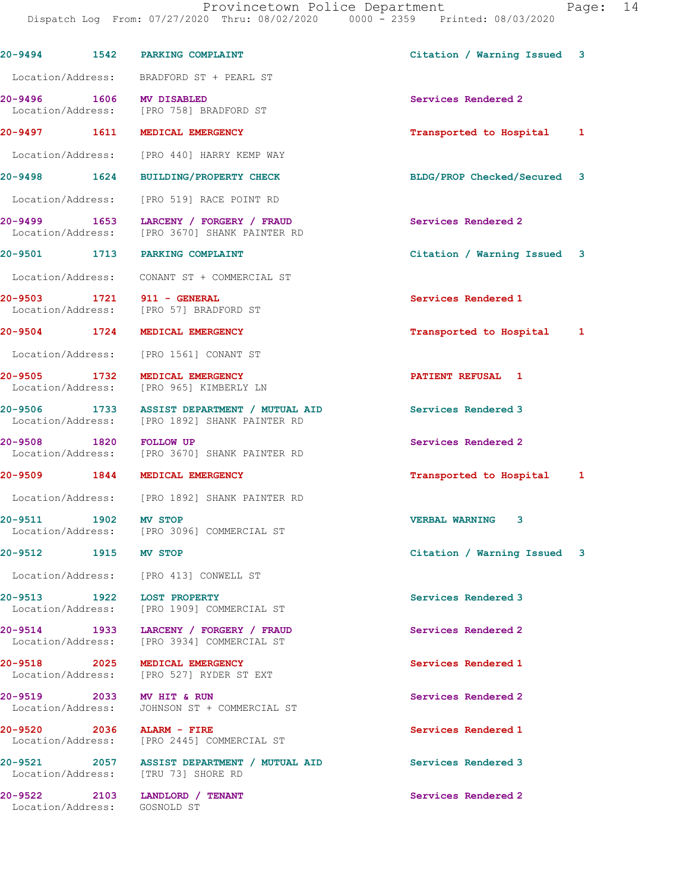|                                                | 20-9494 1542 PARKING COMPLAINT                                                               | Citation / Warning Issued 3 |  |
|------------------------------------------------|----------------------------------------------------------------------------------------------|-----------------------------|--|
|                                                | Location/Address: BRADFORD ST + PEARL ST                                                     |                             |  |
|                                                | 20-9496 1606 MV DISABLED<br>Location/Address: [PRO 758] BRADFORD ST                          | Services Rendered 2         |  |
|                                                | 20-9497 1611 MEDICAL EMERGENCY                                                               | Transported to Hospital 1   |  |
| Location/Address:                              | [PRO 440] HARRY KEMP WAY                                                                     |                             |  |
| 20-9498 1624                                   | <b>BUILDING/PROPERTY CHECK</b>                                                               | BLDG/PROP Checked/Secured 3 |  |
|                                                | Location/Address: [PRO 519] RACE POINT RD                                                    |                             |  |
|                                                | 20-9499 1653 LARCENY / FORGERY / FRAUD<br>Location/Address: [PRO 3670] SHANK PAINTER RD      | Services Rendered 2         |  |
|                                                | 20-9501 1713 PARKING COMPLAINT                                                               | Citation / Warning Issued 3 |  |
|                                                | Location/Address: CONANT ST + COMMERCIAL ST                                                  |                             |  |
| 20-9503 1721 911 - GENERAL                     | Location/Address: [PRO 57] BRADFORD ST                                                       | Services Rendered 1         |  |
|                                                | 20-9504 1724 MEDICAL EMERGENCY                                                               | Transported to Hospital 1   |  |
|                                                | Location/Address: [PRO 1561] CONANT ST                                                       |                             |  |
|                                                | 20-9505 1732 MEDICAL EMERGENCY<br>Location/Address: [PRO 965] KIMBERLY LN                    | <b>PATIENT REFUSAL 1</b>    |  |
|                                                | 20-9506 1733 ASSIST DEPARTMENT / MUTUAL AID<br>Location/Address: [PRO 1892] SHANK PAINTER RD | Services Rendered 3         |  |
| 20-9508 1820 FOLLOW UP                         | Location/Address: [PRO 3670] SHANK PAINTER RD                                                | Services Rendered 2         |  |
|                                                | 20-9509 1844 MEDICAL EMERGENCY                                                               | Transported to Hospital 1   |  |
|                                                | Location/Address: [PRO 1892] SHANK PAINTER RD                                                |                             |  |
| 20-9511 1902 MV STOP                           | Location/Address: [PRO 3096] COMMERCIAL ST                                                   | <b>VERBAL WARNING 3</b>     |  |
| 20-9512 1915                                   | <b>MV STOP</b>                                                                               | Citation / Warning Issued 3 |  |
|                                                | Location/Address: [PRO 413] CONWELL ST                                                       |                             |  |
| 20-9513 1922                                   | <b>LOST PROPERTY</b><br>Location/Address: [PRO 1909] COMMERCIAL ST                           | Services Rendered 3         |  |
|                                                | 20-9514 1933 LARCENY / FORGERY / FRAUD<br>Location/Address: [PRO 3934] COMMERCIAL ST         | Services Rendered 2         |  |
| 20-9518 2025                                   | MEDICAL EMERGENCY<br>Location/Address: [PRO 527] RYDER ST EXT                                | Services Rendered 1         |  |
| 20-9519 2033 MV HIT & RUN<br>Location/Address: | JOHNSON ST + COMMERCIAL ST                                                                   | Services Rendered 2         |  |
| 20-9520 2036 ALARM - FIRE<br>Location/Address: | [PRO 2445] COMMERCIAL ST                                                                     | Services Rendered 1         |  |
|                                                | 20-9521 2057 ASSIST DEPARTMENT / MUTUAL AID<br>Location/Address: [TRU 73] SHORE RD           | Services Rendered 3         |  |
| $20 - 9522$<br>Location/Address: GOSNOLD ST    | 2103 LANDLORD / TENANT                                                                       | Services Rendered 2         |  |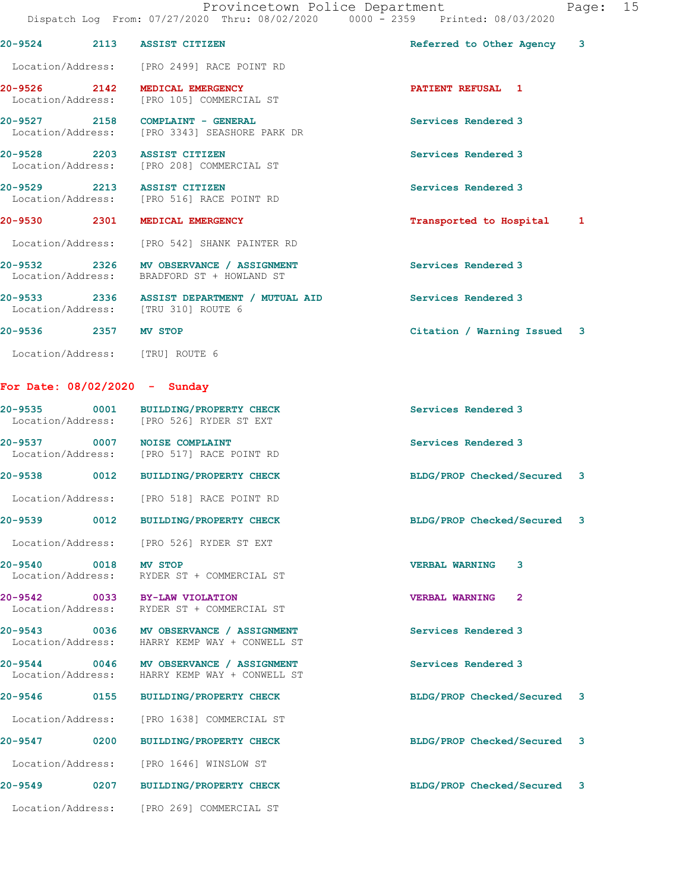|                                 |      |                                                                                          | Dispatch Log From: 07/27/2020 Thru: 08/02/2020 0000 - 2359 Printed: 08/03/2020 |    |
|---------------------------------|------|------------------------------------------------------------------------------------------|--------------------------------------------------------------------------------|----|
| 20-9524 2113 ASSIST CITIZEN     |      |                                                                                          | Referred to Other Agency                                                       | 3  |
|                                 |      | Location/Address: [PRO 2499] RACE POINT RD                                               |                                                                                |    |
|                                 |      | 20-9526 2142 MEDICAL EMERGENCY<br>Location/Address: [PRO 105] COMMERCIAL ST              | <b>PATIENT REFUSAL 1</b>                                                       |    |
|                                 |      | 20-9527 2158 COMPLAINT - GENERAL<br>Location/Address: [PRO 3343] SEASHORE PARK DR        | Services Rendered 3                                                            |    |
| 20-9528 2203 ASSIST CITIZEN     |      | Location/Address: [PRO 208] COMMERCIAL ST                                                | Services Rendered 3                                                            |    |
| 20-9529 2213 ASSIST CITIZEN     |      | Location/Address: [PRO 516] RACE POINT RD                                                | Services Rendered 3                                                            |    |
|                                 |      | 20-9530 2301 MEDICAL EMERGENCY                                                           | Transported to Hospital                                                        | 1  |
|                                 |      | Location/Address: [PRO 542] SHANK PAINTER RD                                             |                                                                                |    |
|                                 |      | 20-9532 2326 MV OBSERVANCE / ASSIGNMENT<br>Location/Address: BRADFORD ST + HOWLAND ST    | Services Rendered 3                                                            |    |
|                                 |      | 20-9533 2336 ASSIST DEPARTMENT / MUTUAL AID<br>Location/Address: [TRU 310] ROUTE 6       | Services Rendered 3                                                            |    |
| 20-9536 2357 MV STOP            |      |                                                                                          | Citation / Warning Issued 3                                                    |    |
| Location/Address: [TRU] ROUTE 6 |      |                                                                                          |                                                                                |    |
| For Date: $08/02/2020 -$ Sunday |      |                                                                                          |                                                                                |    |
|                                 |      | 20-9535 0001 BUILDING/PROPERTY CHECK<br>Location/Address: [PRO 526] RYDER ST EXT         | Services Rendered 3                                                            |    |
| 20-9537 0007 NOISE COMPLAINT    |      | Location/Address: [PRO 517] RACE POINT RD                                                | Services Rendered 3                                                            |    |
|                                 |      | 20-9538 0012 BUILDING/PROPERTY CHECK                                                     | BLDG/PROP Checked/Secured 3                                                    |    |
|                                 |      | Location/Address: [PRO 518] RACE POINT RD                                                |                                                                                |    |
| 20-9539                         | 0012 | BUILDING/PROPERTY CHECK                                                                  | BLDG/PROP Checked/Secured                                                      | 3  |
|                                 |      | Location/Address: [PRO 526] RYDER ST EXT                                                 |                                                                                |    |
| 20-9540 0018 MV STOP            |      | Location/Address: RYDER ST + COMMERCIAL ST                                               | <b>VERBAL WARNING</b><br>3                                                     |    |
|                                 |      | 20-9542 0033 BY-LAW VIOLATION<br>Location/Address: RYDER ST + COMMERCIAL ST              | <b>VERBAL WARNING</b><br>$\mathbf{2}$                                          |    |
|                                 |      | 20-9543 0036 MV OBSERVANCE / ASSIGNMENT<br>Location/Address: HARRY KEMP WAY + CONWELL ST | Services Rendered 3                                                            |    |
|                                 |      | 20-9544 0046 MV OBSERVANCE / ASSIGNMENT<br>Location/Address: HARRY KEMP WAY + CONWELL ST | Services Rendered 3                                                            |    |
|                                 |      | 20-9546 0155 BUILDING/PROPERTY CHECK                                                     | BLDG/PROP Checked/Secured                                                      | 3  |
|                                 |      | Location/Address: [PRO 1638] COMMERCIAL ST                                               |                                                                                |    |
| 20-9547 0200                    |      | <b>BUILDING/PROPERTY CHECK</b>                                                           | BLDG/PROP Checked/Secured                                                      | 3  |
|                                 |      | Location/Address: [PRO 1646] WINSLOW ST                                                  |                                                                                |    |
| 20-9549                         |      | 0207 BUILDING/PROPERTY CHECK                                                             | BLDG/PROP Checked/Secured                                                      | -3 |
|                                 |      | Location/Address: [PRO 269] COMMERCIAL ST                                                |                                                                                |    |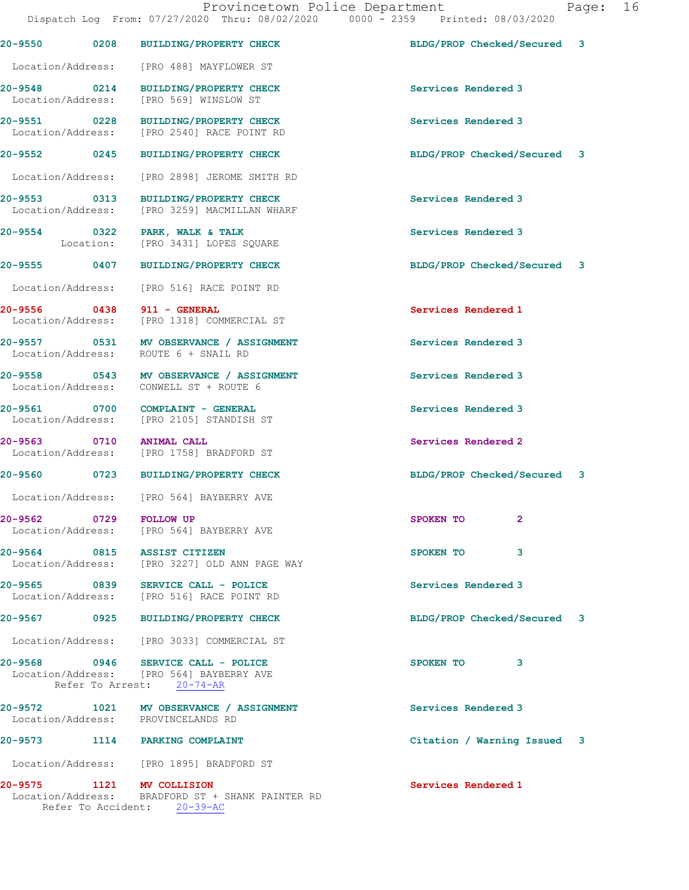|                                                 |                                                                                                             | $10000$ $1000000000000$<br>Dispatch Log From: 07/27/2020 Thru: 08/02/2020 0000 - 2359 Printed: 08/03/2020 |  |
|-------------------------------------------------|-------------------------------------------------------------------------------------------------------------|-----------------------------------------------------------------------------------------------------------|--|
|                                                 | 20-9550 0208 BUILDING/PROPERTY CHECK                                                                        | BLDG/PROP Checked/Secured 3                                                                               |  |
| Location/Address:                               | [PRO 488] MAYFLOWER ST                                                                                      |                                                                                                           |  |
| 20-9548 0214<br>Location/Address:               | <b>BUILDING/PROPERTY CHECK</b><br>[PRO 569] WINSLOW ST                                                      | Services Rendered 3                                                                                       |  |
| Location/Address:                               | 20-9551 0228 BUILDING/PROPERTY CHECK<br>[PRO 2540] RACE POINT RD                                            | Services Rendered 3                                                                                       |  |
| 20-9552 0245                                    | <b>BUILDING/PROPERTY CHECK</b>                                                                              | BLDG/PROP Checked/Secured 3                                                                               |  |
|                                                 | Location/Address: [PRO 2898] JEROME SMITH RD                                                                |                                                                                                           |  |
| 20-9553 0313                                    | <b>BUILDING/PROPERTY CHECK</b><br>Location/Address: [PRO 3259] MACMILLAN WHARF                              | Services Rendered 3                                                                                       |  |
| 20-9554 0322 PARK, WALK & TALK                  | Location: [PRO 3431] LOPES SQUARE                                                                           | Services Rendered 3                                                                                       |  |
|                                                 | 20-9555 0407 BUILDING/PROPERTY CHECK                                                                        | BLDG/PROP Checked/Secured 3                                                                               |  |
| Location/Address:                               | [PRO 516] RACE POINT RD                                                                                     |                                                                                                           |  |
| 20-9556 0438 911 - GENERAL<br>Location/Address: | [PRO 1318] COMMERCIAL ST                                                                                    | Services Rendered 1                                                                                       |  |
|                                                 | 20-9557 0531 MV OBSERVANCE / ASSIGNMENT<br>Location/Address: ROUTE 6 + SNAIL RD                             | Services Rendered 3                                                                                       |  |
|                                                 | 20-9558 0543 MV OBSERVANCE / ASSIGNMENT<br>Location/Address: CONWELL ST + ROUTE 6                           | Services Rendered 3                                                                                       |  |
| Location/Address:                               | 20-9561 0700 COMPLAINT - GENERAL<br>[PRO 2105] STANDISH ST                                                  | Services Rendered 3                                                                                       |  |
| 20-9563 0710<br>Location/Address:               | ANIMAL CALL<br>[PRO 1758] BRADFORD ST                                                                       | Services Rendered 2                                                                                       |  |
|                                                 | 20-9560 0723 BUILDING/PROPERTY CHECK                                                                        | BLDG/PROP Checked/Secured 3                                                                               |  |
|                                                 | Location/Address: [PRO 564] BAYBERRY AVE                                                                    |                                                                                                           |  |
| $20 - 9562$<br>0729                             | <b>FOLLOW UP</b><br>Location/Address: [PRO 564] BAYBERRY AVE                                                | 2<br>SPOKEN TO                                                                                            |  |
| 20-9564 0815 ASSIST CITIZEN                     | Location/Address: [PRO 3227] OLD ANN PAGE WAY                                                               | SPOKEN TO<br>3                                                                                            |  |
|                                                 | 20-9565 0839 SERVICE CALL - POLICE<br>Location/Address: [PRO 516] RACE POINT RD                             | Services Rendered 3                                                                                       |  |
| 20-9567 0925                                    | <b>BUILDING/PROPERTY CHECK</b>                                                                              | BLDG/PROP Checked/Secured 3                                                                               |  |
|                                                 | Location/Address: [PRO 3033] COMMERCIAL ST                                                                  |                                                                                                           |  |
|                                                 | 20-9568 0946 SERVICE CALL - POLICE<br>Location/Address: [PRO 564] BAYBERRY AVE<br>Refer To Arrest: 20-74-AR | 3<br>SPOKEN TO                                                                                            |  |
|                                                 | 20-9572 1021 MV OBSERVANCE / ASSIGNMENT                                                                     | Services Rendered 3                                                                                       |  |
| Location/Address: PROVINCELANDS RD              |                                                                                                             |                                                                                                           |  |
| 20-9573 1114 PARKING COMPLAINT                  |                                                                                                             | Citation / Warning Issued 3                                                                               |  |
|                                                 | Location/Address: [PRO 1895] BRADFORD ST                                                                    |                                                                                                           |  |
| 20-9575 1121 MV COLLISION                       | Location/Address: BRADFORD ST + SHANK PAINTER RD                                                            | Services Rendered 1                                                                                       |  |

Refer To Accident: 20-39-AC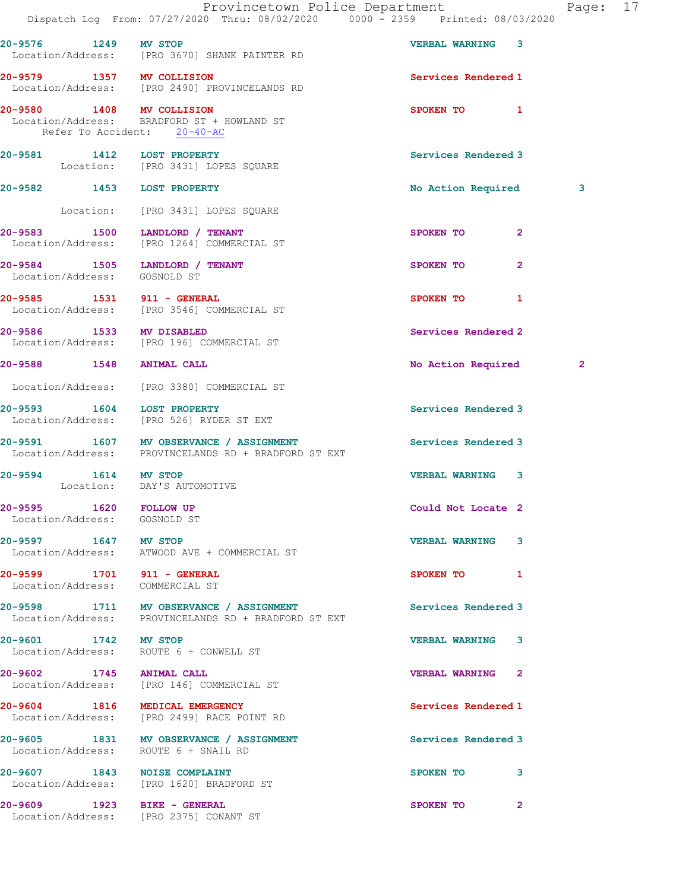|                                                                | Dispatch Log From: 07/27/2020 Thru: 08/02/2020 0000 - 2359 Printed: 08/03/2020                  | Provincetown Police Department | Page: 17     |  |
|----------------------------------------------------------------|-------------------------------------------------------------------------------------------------|--------------------------------|--------------|--|
| 20-9576 1249 MV STOP                                           | Location/Address: [PRO 3670] SHANK PAINTER RD                                                   | <b>VERBAL WARNING 3</b>        |              |  |
|                                                                | 20-9579 1357 MV COLLISION<br>Location/Address: [PRO 2490] PROVINCELANDS RD                      | Services Rendered 1            |              |  |
| Refer To Accident: 20-40-AC                                    | 20-9580 1408 MV COLLISION<br>Location/Address: BRADFORD ST + HOWLAND ST                         | SPOKEN TO 1                    |              |  |
| 20-9581 1412 LOST PROPERTY                                     | Location: [PRO 3431] LOPES SQUARE                                                               | Services Rendered 3            |              |  |
| 20-9582 1453 LOST PROPERTY                                     |                                                                                                 | No Action Required             | 3            |  |
|                                                                | Location: [PRO 3431] LOPES SQUARE                                                               |                                |              |  |
|                                                                | 20-9583 1500 LANDLORD / TENANT<br>Location/Address: [PRO 1264] COMMERCIAL ST                    | SPOKEN TO<br>2                 |              |  |
| 20-9584 1505 LANDLORD / TENANT<br>Location/Address: GOSNOLD ST |                                                                                                 | SPOKEN TO<br>$\mathbf{2}$      |              |  |
|                                                                | 20-9585 1531 911 - GENERAL<br>Location/Address: [PRO 3546] COMMERCIAL ST                        | SPOKEN TO 1                    |              |  |
| 20-9586 1533 MV DISABLED                                       | Location/Address: [PRO 196] COMMERCIAL ST                                                       | Services Rendered 2            |              |  |
| 20-9588 1548 ANIMAL CALL                                       |                                                                                                 | No Action Required             | $\mathbf{2}$ |  |
|                                                                | Location/Address: [PRO 3380] COMMERCIAL ST                                                      |                                |              |  |
|                                                                | 20-9593 1604 LOST PROPERTY<br>Location/Address: [PRO 526] RYDER ST EXT                          | Services Rendered 3            |              |  |
|                                                                | 20-9591 1607 MV OBSERVANCE / ASSIGNMENT<br>Location/Address: PROVINCELANDS RD + BRADFORD ST EXT | Services Rendered 3            |              |  |
| 20-9594 1614 MV STOP<br>Location: DAY'S AUTOMOTIVE             |                                                                                                 | VERBAL WARNING 3               |              |  |
| 20-9595 1620 FOLLOW UP<br>Location/Address: GOSNOLD ST         |                                                                                                 | Could Not Locate 2             |              |  |
|                                                                | 20-9597 1647 MV STOP<br>Location/Address: ATWOOD AVE + COMMERCIAL ST                            | <b>VERBAL WARNING 3</b>        |              |  |
| 20-9599 1701 911 - GENERAL<br>Location/Address: COMMERCIAL ST  |                                                                                                 | SPOKEN TO 1                    |              |  |
|                                                                | 20-9598 1711 MV OBSERVANCE / ASSIGNMENT<br>Location/Address: PROVINCELANDS RD + BRADFORD ST EXT | Services Rendered 3            |              |  |
| 20-9601 1742 MV STOP                                           | Location/Address: ROUTE 6 + CONWELL ST                                                          | <b>VERBAL WARNING 3</b>        |              |  |
| 20-9602 1745 ANIMAL CALL                                       | Location/Address: [PRO 146] COMMERCIAL ST                                                       | <b>VERBAL WARNING 2</b>        |              |  |
| 20-9604 1816 MEDICAL EMERGENCY                                 | Location/Address: [PRO 2499] RACE POINT RD                                                      | Services Rendered 1            |              |  |
| Location/Address: ROUTE 6 + SNAIL RD                           | 20-9605 1831 MV OBSERVANCE / ASSIGNMENT                                                         | Services Rendered 3            |              |  |
| 20-9607 1843 NOISE COMPLAINT                                   | Location/Address: [PRO 1620] BRADFORD ST                                                        | SPOKEN TO 3                    |              |  |
| 20-9609 1923 BIKE - GENERAL                                    | Location/Address: [PRO 2375] CONANT ST                                                          | SPOKEN TO<br>2                 |              |  |